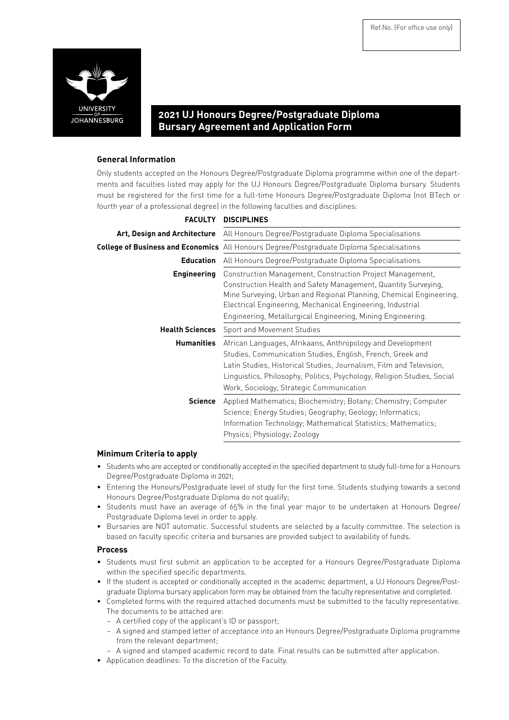

# **2021 UJ Honours Degree/Postgraduate Diploma Bursary Agreement and Application Form**

# **General Information**

Only students accepted on the Honours Degree/Postgraduate Diploma programme within one of the departments and faculties listed may apply for the UJ Honours Degree/Postgraduate Diploma bursary. Students must be registered for the first time for a full-time Honours Degree/Postgraduate Diploma (not BTech or fourth year of a professional degree) in the following faculties and disciplines:

|                        | FACULTY DISCIPLINES                                                                                                                                                                                                                                                                                                            |  |  |
|------------------------|--------------------------------------------------------------------------------------------------------------------------------------------------------------------------------------------------------------------------------------------------------------------------------------------------------------------------------|--|--|
|                        | Art, Design and Architecture All Honours Degree/Postgraduate Diploma Specialisations                                                                                                                                                                                                                                           |  |  |
|                        | <b>College of Business and Economics</b> All Honours Degree/Postgraduate Diploma Specialisations                                                                                                                                                                                                                               |  |  |
| <b>Education</b>       | All Honours Degree/Postgraduate Diploma Specialisations                                                                                                                                                                                                                                                                        |  |  |
| <b>Engineering</b>     | Construction Management, Construction Project Management,<br>Construction Health and Safety Management, Quantity Surveying,<br>Mine Surveying, Urban and Regional Planning, Chemical Engineering,<br>Electrical Engineering, Mechanical Engineering, Industrial<br>Engineering, Metallurgical Engineering, Mining Engineering. |  |  |
| <b>Health Sciences</b> | Sport and Movement Studies                                                                                                                                                                                                                                                                                                     |  |  |
| <b>Humanities</b>      | African Languages, Afrikaans, Anthropology and Development<br>Studies, Communication Studies, English, French, Greek and<br>Latin Studies, Historical Studies, Journalism, Film and Television,<br>Linguistics, Philosophy, Politics, Psychology, Religion Studies, Social<br>Work, Sociology, Strategic Communication         |  |  |
| Science                | Applied Mathematics; Biochemistry; Botany; Chemistry; Computer<br>Science; Energy Studies; Geography; Geology; Informatics;<br>Information Technology; Mathematical Statistics; Mathematics;<br>Physics; Physiology; Zoology                                                                                                   |  |  |

# **Minimum Criteria to apply**

- • Students who are accepted or conditionally accepted in the specified department to study full-time for a Honours Degree/Postgraduate Diploma in 2021;
- • Entering the Honours/Postgraduate level of study for the first time. Students studying towards a second Honours Degree/Postgraduate Diploma do not qualify;
- Students must have an average of 65% in the final year major to be undertaken at Honours Degree/ Postgraduate Diploma level in order to apply.
- • Bursaries are NOT automatic. Successful students are selected by a faculty committee. The selection is based on faculty specific criteria and bursaries are provided subject to availability of funds.

### **Process**

- • Students must first submit an application to be accepted for a Honours Degree/Postgraduate Diploma within the specified specific departments.
- • If the student is accepted or conditionally accepted in the academic department, a UJ Honours Degree/Postgraduate Diploma bursary application form may be obtained from the faculty representative and completed.
- • Completed forms with the required attached documents must be submitted to the faculty representative. The documents to be attached are:
	- A certified copy of the applicant's ID or passport;
	- A signed and stamped letter of acceptance into an Honours Degree/Postgraduate Diploma programme from the relevant department;
	- A signed and stamped academic record to date. Final results can be submitted after application.
- • Application deadlines: To the discretion of the Faculty.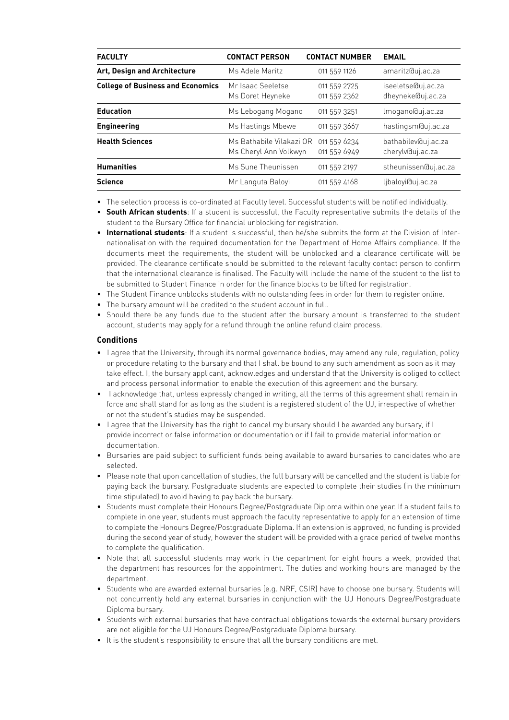| <b>FACULTY</b>                           | <b>CONTACT PERSON</b>                             | <b>CONTACT NUMBER</b>        | <b>EMAIL</b>                            |
|------------------------------------------|---------------------------------------------------|------------------------------|-----------------------------------------|
| Art, Design and Architecture             | Ms Adele Maritz                                   | 011 559 1126                 | amaritz@uj.ac.za                        |
| <b>College of Business and Economics</b> | Mr Isaac Seeletse<br>Ms Doret Heyneke             | 011 559 2725<br>011 559 2362 | iseeletse@uj.ac.za<br>dheyneke@uj.ac.za |
| <b>Education</b>                         | Ms Lebogang Mogano                                | 011 559 3251                 | lmogano@uj.ac.za                        |
| <b>Engineering</b>                       | Ms Hastings Mbewe                                 | 011 559 3667                 | hastingsm@uj.ac.za                      |
| <b>Health Sciences</b>                   | Ms Bathabile Vilakazi OR<br>Ms Cheryl Ann Volkwyn | 011 559 6234<br>011 559 6949 | bathabilev@uj.ac.za<br>cherylv@uj.ac.za |
| <b>Humanities</b>                        | Ms Sune Theunissen                                | 011 559 2197                 | stheunissen@uj.ac.za                    |
| <b>Science</b>                           | Mr Languta Baloyi                                 | 011 559 4168                 | ljbaloyi@uj.ac.za                       |

- • The selection process is co-ordinated at Faculty level. Successful students will be notified individually.
- • **South African students**: If a student is successful, the Faculty representative submits the details of the student to the Bursary Office for financial unblocking for registration.
- • **International students**: If a student is successful, then he/she submits the form at the Division of Internationalisation with the required documentation for the Department of Home Affairs compliance. If the documents meet the requirements, the student will be unblocked and a clearance certificate will be provided. The clearance certificate should be submitted to the relevant faculty contact person to confirm that the international clearance is finalised. The Faculty will include the name of the student to the list to be submitted to Student Finance in order for the finance blocks to be lifted for registration.
- The Student Finance unblocks students with no outstanding fees in order for them to register online.
- The bursary amount will be credited to the student account in full.
- Should there be any funds due to the student after the bursary amount is transferred to the student account, students may apply for a refund through the online refund claim process.

### **Conditions**

- I agree that the University, through its normal governance bodies, may amend any rule, regulation, policy or procedure relating to the bursary and that I shall be bound to any such amendment as soon as it may take effect. I, the bursary applicant, acknowledges and understand that the University is obliged to collect and process personal information to enable the execution of this agreement and the bursary.
- I acknowledge that, unless expressly changed in writing, all the terms of this agreement shall remain in force and shall stand for as long as the student is a registered student of the UJ, irrespective of whether or not the student's studies may be suspended.
- I agree that the University has the right to cancel my bursary should I be awarded any bursary, if I provide incorrect or false information or documentation or if I fail to provide material information or documentation.
- Bursaries are paid subject to sufficient funds being available to award bursaries to candidates who are selected.
- • Please note that upon cancellation of studies, the full bursary will be cancelled and the student is liable for paying back the bursary. Postgraduate students are expected to complete their studies (in the minimum time stipulated) to avoid having to pay back the bursary.
- • Students must complete their Honours Degree/Postgraduate Diploma within one year. If a student fails to complete in one year, students must approach the faculty representative to apply for an extension of time to complete the Honours Degree/Postgraduate Diploma. If an extension is approved, no funding is provided during the second year of study, however the student will be provided with a grace period of twelve months to complete the qualification.
- Note that all successful students may work in the department for eight hours a week, provided that the department has resources for the appointment. The duties and working hours are managed by the department.
- • Students who are awarded external bursaries (e.g. NRF, CSIR) have to choose one bursary. Students will not concurrently hold any external bursaries in conjunction with the UJ Honours Degree/Postgraduate Diploma bursary.
- • Students with external bursaries that have contractual obligations towards the external bursary providers are not eligible for the UJ Honours Degree/Postgraduate Diploma bursary.
- It is the student's responsibility to ensure that all the bursary conditions are met.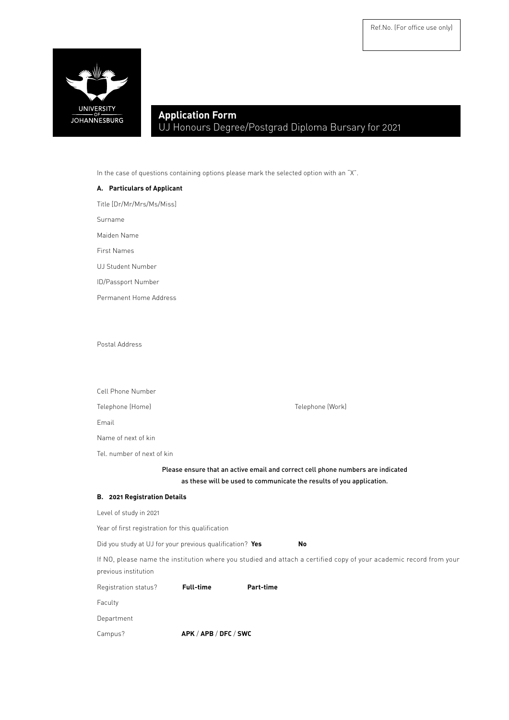

# **Application Form** UJ Honours Degree/Postgrad Diploma Bursary for 2021

In the case of questions containing options please mark the selected option with an "X".

# **A. Particulars of Applicant**

Title [Dr/Mr/Mrs/Ms/Miss]

Surname

Maiden Name

First Names

UJ Student Number

ID/Passport Number

Permanent Home Address

Postal Address

| Cell Phone Number                                        |                  |           |                                                                                                                                                         |
|----------------------------------------------------------|------------------|-----------|---------------------------------------------------------------------------------------------------------------------------------------------------------|
| Telephone (Home)                                         |                  |           | Telephone (Work)                                                                                                                                        |
| Email                                                    |                  |           |                                                                                                                                                         |
| Name of next of kin                                      |                  |           |                                                                                                                                                         |
| Tel. number of next of kin                               |                  |           |                                                                                                                                                         |
|                                                          |                  |           | Please ensure that an active email and correct cell phone numbers are indicated<br>as these will be used to communicate the results of you application. |
| <b>B. 2021 Registration Details</b>                      |                  |           |                                                                                                                                                         |
| Level of study in 2021                                   |                  |           |                                                                                                                                                         |
| Year of first registration for this qualification        |                  |           |                                                                                                                                                         |
| Did you study at UJ for your previous qualification? Yes |                  |           | No                                                                                                                                                      |
| previous institution                                     |                  |           | If NO, please name the institution where you studied and attach a certified copy of your academic record from your                                      |
| Registration status?                                     | <b>Full-time</b> | Part-time |                                                                                                                                                         |
| Faculty                                                  |                  |           |                                                                                                                                                         |

Department

Campus? **APK** / **APB** / **DFC** / **SWC**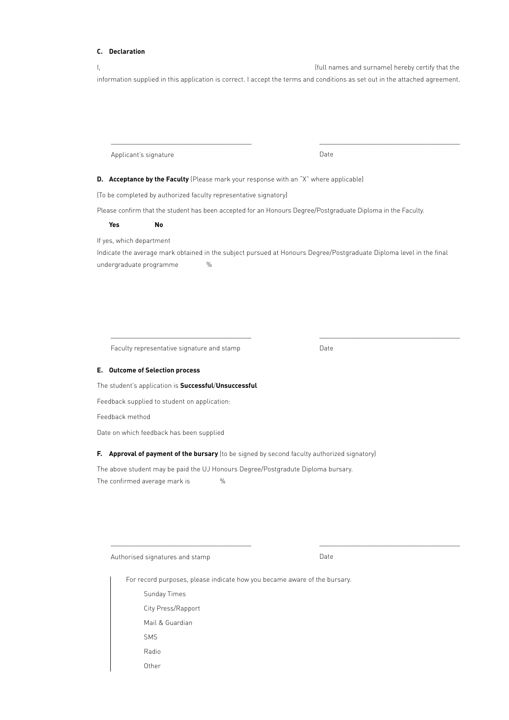### **C. Declaration**

I, the contract of the contract of the contract of the contract of the contract of the contract of the contract of the contract of the contract of the contract of the contract of the contract of the contract of the contrac information supplied in this application is correct. I accept the terms and conditions as set out in the attached agreement.

Applicant's signature

Date

\_\_\_\_\_\_\_\_\_\_\_\_\_\_\_\_\_\_\_\_\_\_\_\_\_\_\_\_\_\_\_\_

\_\_\_\_\_\_\_\_\_\_\_\_\_\_\_\_\_\_\_\_\_\_\_\_\_\_\_\_\_\_\_\_

\_\_\_\_\_\_\_\_\_\_\_\_\_\_\_\_\_\_\_\_\_\_\_\_\_\_\_\_\_\_\_\_

**D.** Acceptance by the Faculty (Please mark your response with an "X" where applicable)

(To be completed by authorized faculty representative signatory)

\_\_\_\_\_\_\_\_\_\_\_\_\_\_\_\_\_\_\_\_\_\_\_\_\_\_\_\_\_\_\_\_

Please confirm that the student has been accepted for an Honours Degree/Postgraduate Diploma in the Faculty.

**Yes No**

If yes, which department

Indicate the average mark obtained in the subject pursued at Honours Degree/Postgraduate Diploma level in the final undergraduate programme %

Faculty representative signature and stamp

\_\_\_\_\_\_\_\_\_\_\_\_\_\_\_\_\_\_\_\_\_\_\_\_\_\_\_\_\_\_\_\_

Date

#### **E. Outcome of Selection process**

The student's application is **Successful**/**Unsuccessful**

Feedback supplied to student on application:

Feedback method

Date on which feedback has been supplied

### **F. Approval of payment of the bursary** (to be signed by second faculty authorized signatory)

The above student may be paid the UJ Honours Degree/Postgradute Diploma bursary. The confirmed average mark is  $\%$ 

Authorised signatures and stamp

\_\_\_\_\_\_\_\_\_\_\_\_\_\_\_\_\_\_\_\_\_\_\_\_\_\_\_\_\_\_\_\_

Date

For record purposes, please indicate how you became aware of the bursary. Sunday Times City Press/Rapport Mail & Guardian SMS Radio

**Other**